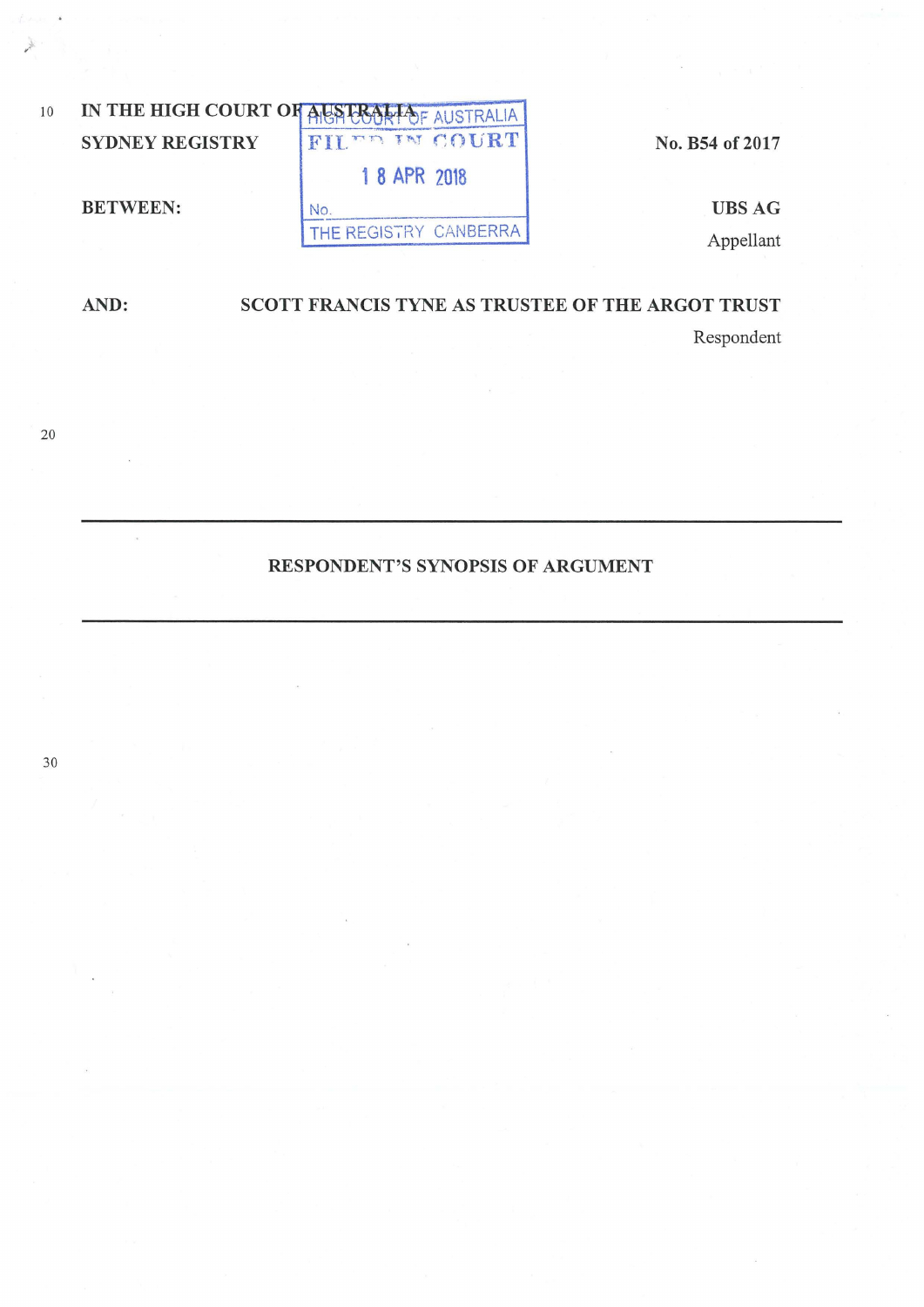

SCOTT FRANCIS TYNE AS TRUSTEE OF THE ARGOT TRUST AND: Respondent

RESPONDENT'S SYNOPSIS OF ARGUMENT

 $20\,$ 

 $\bar{\alpha}$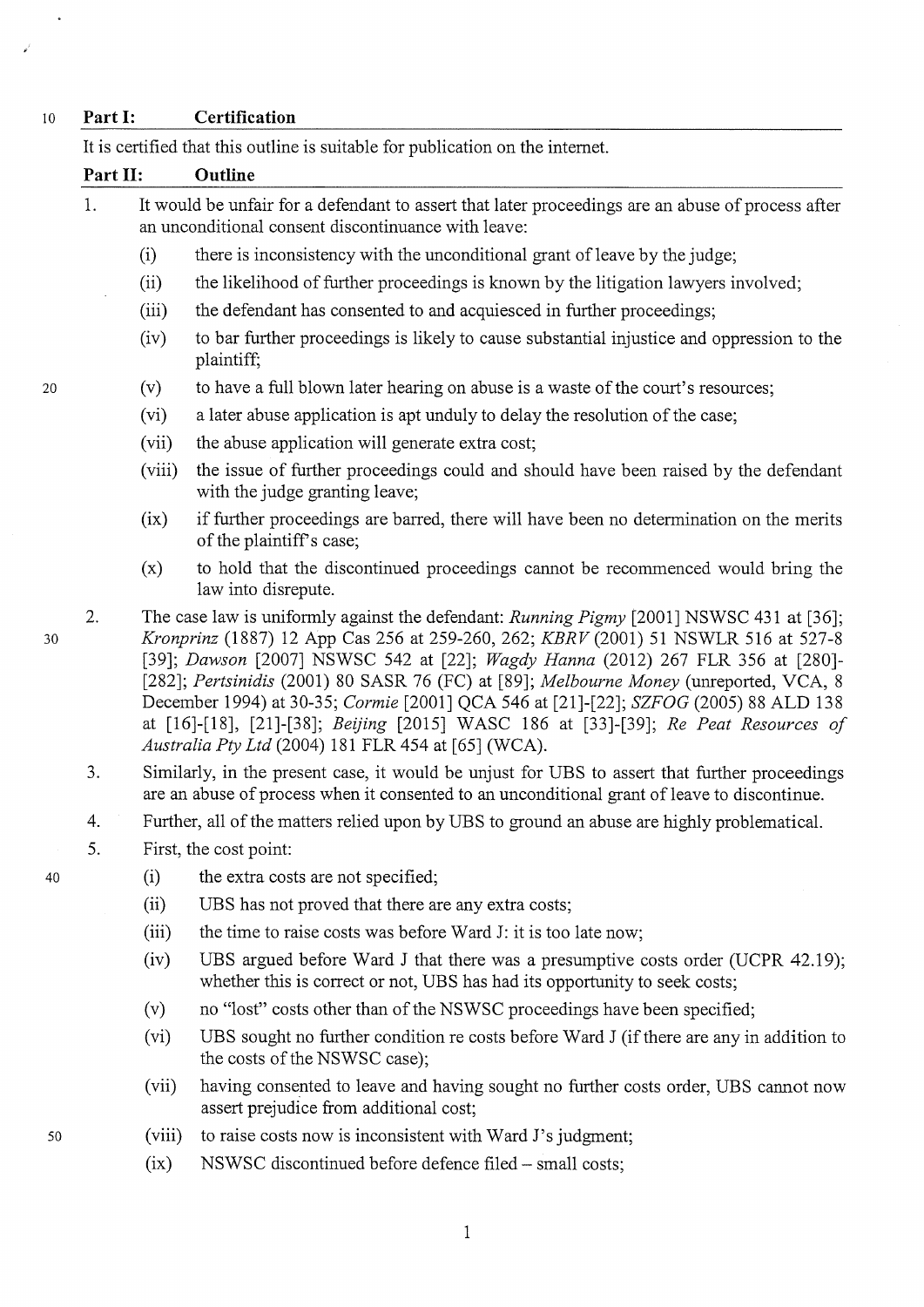## 10 **Part 1: Certification**

It is certified that this outline is suitable for publication on the internet. **Part II: Outline**  1. It would be unfair for a defendant to assert that later proceedings are an abuse of process after 2. an unconditional consent discontinuance with leave: (i) (ii) (iii) (iv) (v) (vi) (vii) (viii)  $(ix)$ there is inconsistency with the unconditional grant of leave by the judge; the likelihood of further proceedings is known by the litigation lawyers involved; the defendant has consented to and acquiesced in further proceedings; to bar further proceedings is likely to cause substantial injustice and oppression to the plaintiff; to have a full blown later hearing on abuse is a waste of the court's resources; a later abuse application is apt unduly to delay the resolution of the case; the abuse application will generate extra cost; the issue of further proceedings could and should have been raised by the defendant with the judge granting leave; if further proceedings are barred, there will have been no determination on the merits of the plaintiffs case; (x) to hold that the discontinued proceedings cannot be recommenced would bring the law into disrepute. The case law is uniformly against the defendant: *Running Pigmy* [2001] NSWSC 431 at [36]; *Kronprinz* (1887) 12 App Cas 256 at 259-260, 262; *KBRV* (2001) 51 NSWLR 516 at 527-8 [39]; *Dawson* [2007] NSWSC 542 at [22]; *Wagdy Hanna* (2012) 267 FLR 356 at [280]- [282]; *Pertsinidis* (2001) 80 SASR 76 (FC) at [89]; *Melbourne Money* (umeported, VCA, 8 December 1994) at 30-35; *Carmie* [2001] QCA 546 at [21]-[22]; *SZFOG* (2005) 88 ALD 138 at [16]-[18], [21]-[38]; *Beijing* [2015] WASC 186 at [33]-[39]; *Re Peat Resources of Australia Pty Ltd* (2004) 181 FLR 454 at [65] (WCA). 3. Similarly, in the present case, it would be unjust for UBS to assert that further proceedings are an abuse of process when it consented to an unconditional grant of leave to discontinue. 4. Further, all of the matters relied upon by UBS to ground an abuse are highly problematical. 5. First, the cost point: (i) (ii) the extra costs are not specified; UBS has not proved that there are any extra costs; (iii) the time to raise costs was before Ward J: it is too late now; (iv) UBS argued before Ward J that there was a presumptive costs order (UCPR 42.19); whether this is correct or not, UBS has had its opportunity to seek costs;

- (v) no "lost" costs other than of the NSWSC proceedings have been specified;
- (vi) UBS sought no further condition re costs before Ward J (if there are any in addition to the costs of the NSWSC case);
- (vii) having consented to leave and having sought no further costs order, UBS cannot now assert prejudice from additional cost;
- (viii) to raise costs now is inconsistent with Ward J's judgment;
- $(ix)$ NSWSC discontinued before defence filed- small costs;

50

30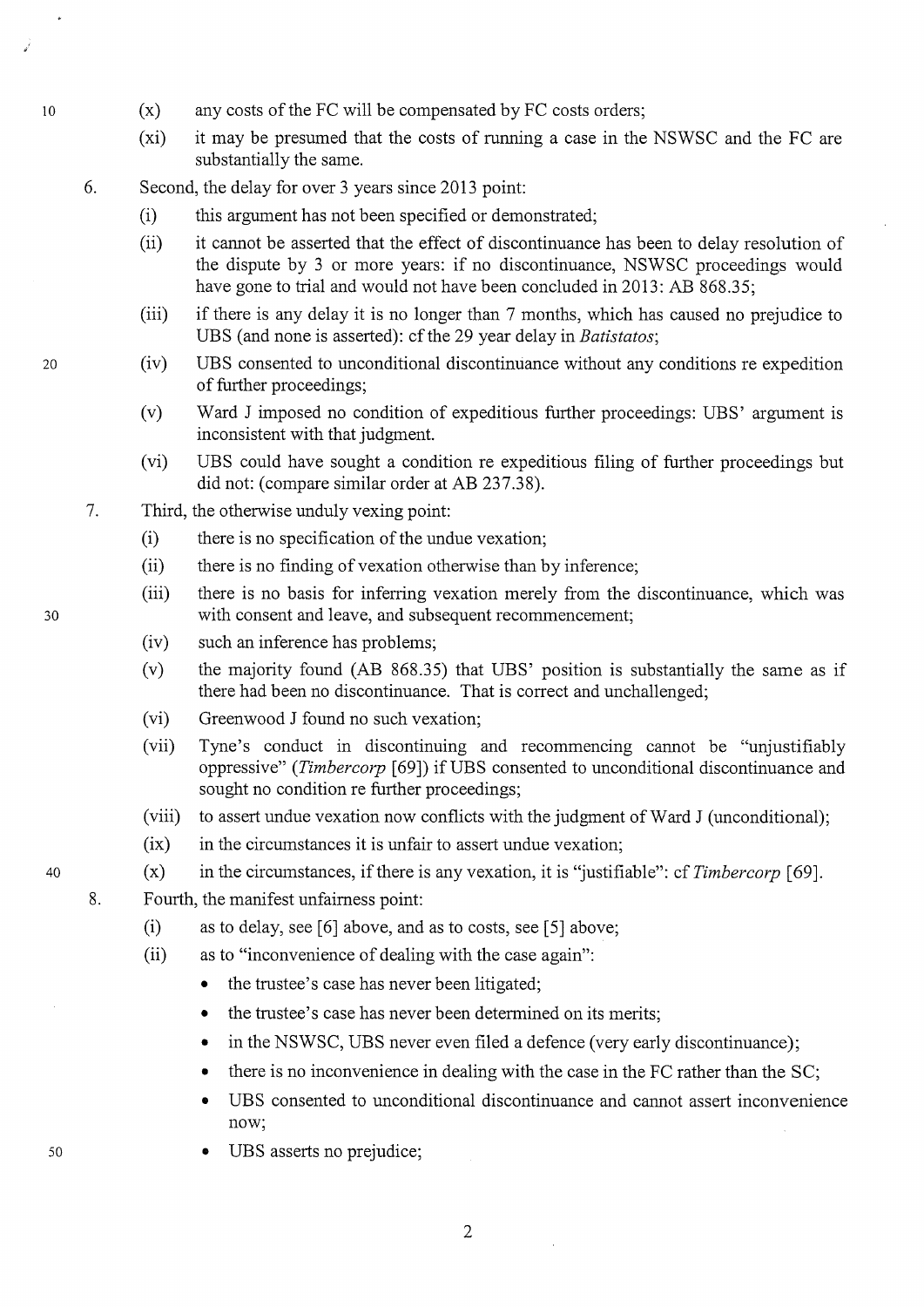- (x) any costs of the FC will be compensated by FC costs orders;
- (xi) it may be presumed that the costs of running a case in the NSWSC and the FC are substantially the same.
- 6. Second, the delay for over 3 years since 2013 point:
	- (i) this argument has not been specified or demonstrated;
	- (ii) it cannot be asserted that the effect of discontinuance has been to delay resolution of the dispute by 3 or more years: if no discontinuance, NSWSC proceedings would have gone to trial and would not have been concluded in 2013: AB 868.35;
	- (iii) if there is any delay it is no longer than 7 months, which has caused no prejudice to UBS (and none is asserted): cf the 29 year delay in *Batistatos*;
	- (iv) UBS consented to unconditional discontinuance without any conditions re expedition of further proceedings;
	- (v) Ward J imposed no condition of expeditious further proceedings: UBS' argument is inconsistent with that judgment.
	- (vi) UBS could have sought a condition re expeditious filing of further proceedings but did not: (compare similar order at AB 237.38).
- 7. Third, the otherwise unduly vexing point:
	- (i) there is no specification of the undue vexation;
	- (ii) there is no finding of vexation otherwise than by inference;
	- (iii) there is no basis for inferring vexation merely from the discontinuance, which was with consent and leave, and subsequent recommencement;
	- (iv) such an inference has problems;
	- (v) the majority found (AB 868.35) that UBS' position is substantially the same as if there had been no discontinuance. That is correct and unchallenged;
	- (vi) Greenwood J found no such vexation;
	- (vii) Tyne's conduct in discontinuing and recommencing cannot be "unjustifiably oppressive" *(Timbercorp* [69]) ifUBS consented to unconditional discontinuance and sought no condition re further proceedings;
	- (viii) to assert undue vexation now conflicts with the judgment of Ward J (unconditional);
	- $(ix)$  in the circumstances it is unfair to assert undue vexation;
	- (x) in the circumstances, if there is any vexation, it is "justifiable": cf *Timbercorp* [ 69].
	- Fourth, the manifest unfairness point:
		- (i) as to delay, see [6] above, and as to costs, see [5] above;
		- (ii) as to "inconvenience of dealing with the case again":
			- the trustee's case has never been litigated;
			- the trustee's case has never been determined on its merits;
			- in the NSWSC, UBS never even filed a defence (very early discontinuance);
			- there is no inconvenience in dealing with the case in the FC rather than the SC;
			- UBS consented to unconditional discontinuance and cannot assert inconvenience now;
			- UBS asserts no prejudice;

20

10

30

40

8.

50